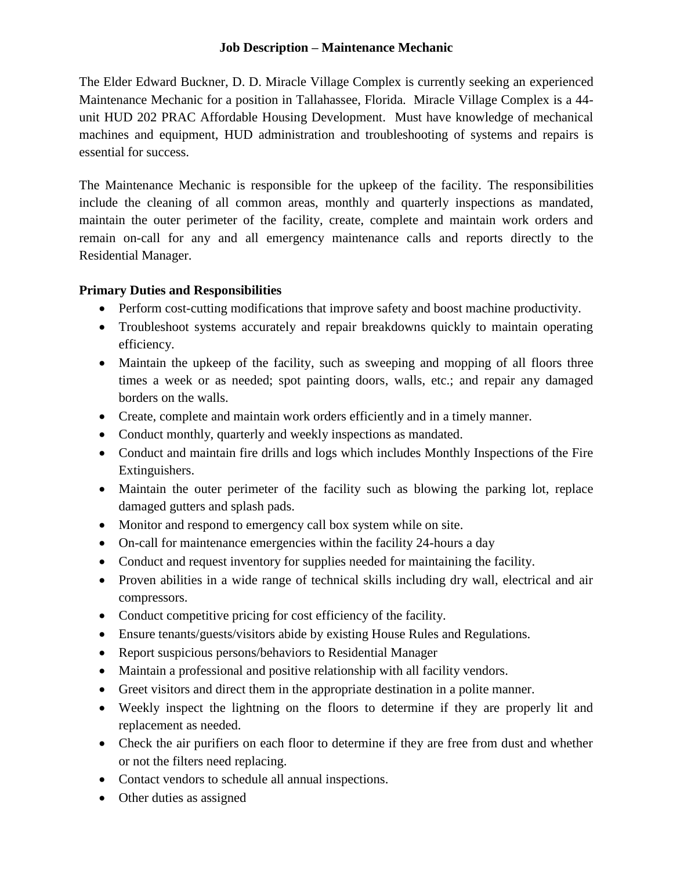## **Job Description – Maintenance Mechanic**

The Elder Edward Buckner, D. D. Miracle Village Complex is currently seeking an experienced Maintenance Mechanic for a position in Tallahassee, Florida. Miracle Village Complex is a 44 unit HUD 202 PRAC Affordable Housing Development. Must have knowledge of mechanical machines and equipment, HUD administration and troubleshooting of systems and repairs is essential for success.

The Maintenance Mechanic is responsible for the upkeep of the facility. The responsibilities include the cleaning of all common areas, monthly and quarterly inspections as mandated, maintain the outer perimeter of the facility, create, complete and maintain work orders and remain on-call for any and all emergency maintenance calls and reports directly to the Residential Manager.

# **Primary Duties and Responsibilities**

- Perform cost-cutting modifications that improve safety and boost machine productivity.
- Troubleshoot systems accurately and repair breakdowns quickly to maintain operating efficiency.
- Maintain the upkeep of the facility, such as sweeping and mopping of all floors three times a week or as needed; spot painting doors, walls, etc.; and repair any damaged borders on the walls.
- Create, complete and maintain work orders efficiently and in a timely manner.
- Conduct monthly, quarterly and weekly inspections as mandated.
- Conduct and maintain fire drills and logs which includes Monthly Inspections of the Fire Extinguishers.
- Maintain the outer perimeter of the facility such as blowing the parking lot, replace damaged gutters and splash pads.
- Monitor and respond to emergency call box system while on site.
- On-call for maintenance emergencies within the facility 24-hours a day
- Conduct and request inventory for supplies needed for maintaining the facility.
- Proven abilities in a wide range of technical skills including dry wall, electrical and air compressors.
- Conduct competitive pricing for cost efficiency of the facility.
- Ensure tenants/guests/visitors abide by existing House Rules and Regulations.
- Report suspicious persons/behaviors to Residential Manager
- Maintain a professional and positive relationship with all facility vendors.
- Greet visitors and direct them in the appropriate destination in a polite manner.
- Weekly inspect the lightning on the floors to determine if they are properly lit and replacement as needed.
- Check the air purifiers on each floor to determine if they are free from dust and whether or not the filters need replacing.
- Contact vendors to schedule all annual inspections.
- Other duties as assigned